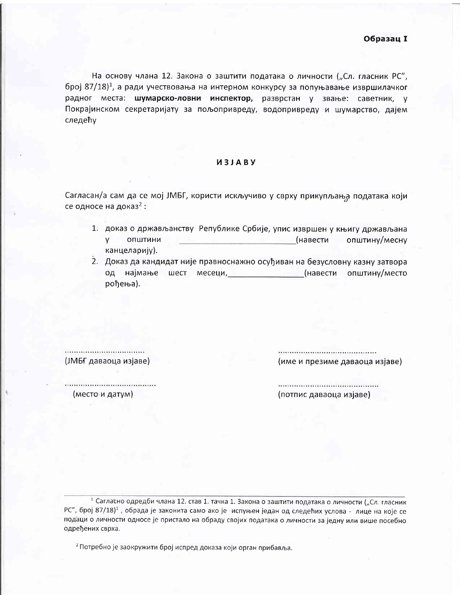На основу члана 12. Закона о заштити података о личности ("Сл. гласник РС", број 87/18)<sup>1</sup>, а ради учествовања на интерном конкурсу за попуњавање извршилачког радног места: шумарско-ловни инспектор, разврстан у звање: саветник, у Покрајинском секретаријату за пољопривреду, водопривреду и шумарство, дајем следећу

## *M3JABY*

Сагласан/а сам да се мој ЈМБГ, користи искључиво у сврху прикупљања података који се односе на доказ<sup>2</sup>:

- 1. доказ о држављанству Републике Србије, упис извршен у књигу држављана V. ОПШТИНИ (навести општину/месну канцеларију).
- 2. Доказ да кандидат није правноснажно осуђиван на безусловну казну затвора од најмање шест месеци, **Севеци, Севеци, Севеци, Севести општину/место** рођења).

(ЈМБГ даваоца изјаве) ................................... (име и презиме даваоца изјаве)

(место и датум)

(потпис даваоца изјаве)

<sup>1</sup> Сагласно одредби члана 12. став 1. тачка 1. Закона о заштити података о личности ("Сл. гласник РС", број 87/18)<sup>1</sup>, обрада је законита само ако је испуњен један од следећих услова - лице на које се подаци о личности односе је пристало на обраду својих података о личности за једну или више посебно одређених сврха.

<sup>2</sup> Потребно је заокружити број испред доказа који орган прибавља.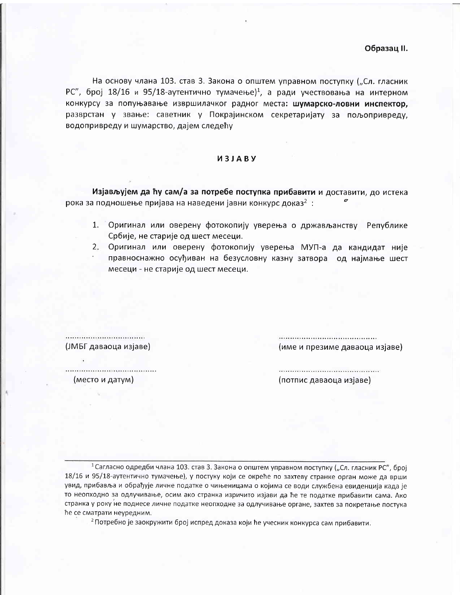На основу члана 103. став 3. Закона о општем управном поступку ("Сл. гласник РС", број 18/16 и 95/18-аутентично тумачење)<sup>1</sup>, а ради учествовања на интерном конкурсу за попуњавање извршилачког радног места: шумарско-ловни инспектор, разврстан у звање: саветник у Покрајинском секретаријату за пољопривреду, водопривреду и шумарство, дајем следећу

## *M3JABY*

Изјављујем да ћу сам/а за потребе поступка прибавити и доставити, до истека рока за подношење пријава на наведени јавни конкурс доказ<sup>2</sup>:

- 1. Оригинал или оверену фотокопију уверења о држављанству Републике Србије, не старије од шест месеци.
- 2. Оригинал или оверену фотокопију уверења МУП-а да кандидат није правноснажно осуђиван на безусловну казну затвора од најмање шест месеци - не старије од шест месеци.

.................................... (име и презиме даваоца изјаве)

(место и датум)

(ЈМБГ даваоца изјаве)

(потпис даваоца изјаве)

<sup>1</sup> Сагласно одредби члана 103. став 3. Закона о општем управном поступку ("Сл. гласник РС", број 18/16 и 95/18-аутентично тумачење), у постуку који се окреће по захтеву странке орган може да врши увид, прибавља и обрађује личне податке о чињеницама о којима се води службена евиденција када је то неопходно за одлучивање, осим ако странка изричито изјави да ће те податке прибавити сама. Ако странка у року не поднесе личне податке неопходне за одлучивање органе, захтев за покретање постука ће се сматрати неуредним.

<sup>2</sup> Потребно је заокружити број испред доказа који ће учесник конкурса сам прибавити.